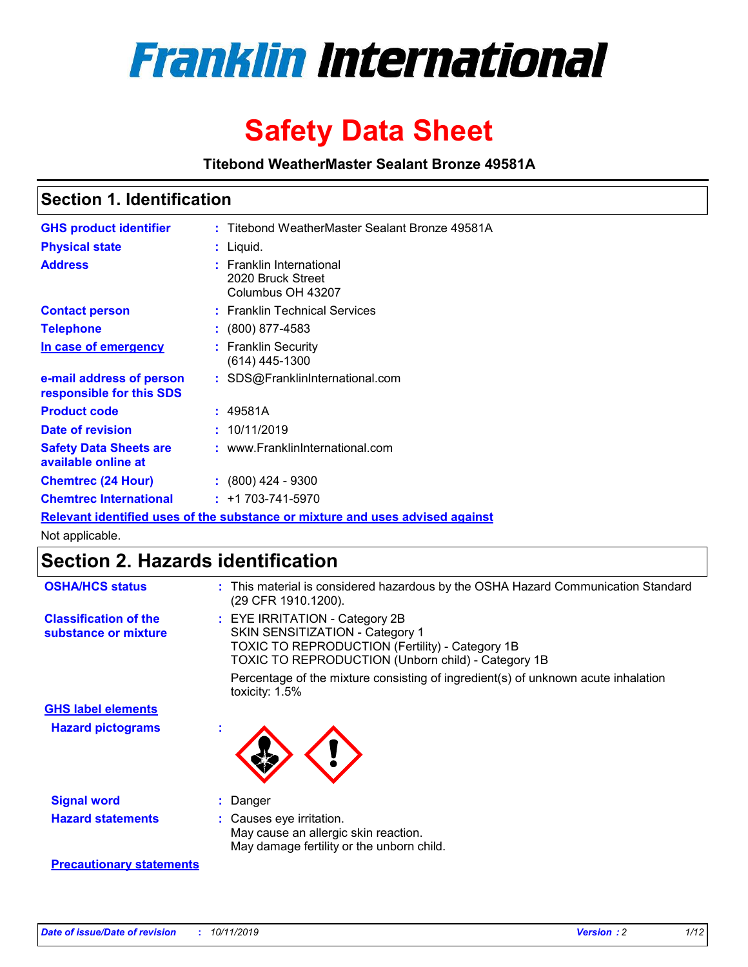

# **Safety Data Sheet**

**Titebond WeatherMaster Sealant Bronze 49581A**

### **Section 1. Identification**

| <b>GHS product identifier</b>                        | : Titebond WeatherMaster Sealant Bronze 49581A                                |
|------------------------------------------------------|-------------------------------------------------------------------------------|
| <b>Physical state</b>                                | : Liquid.                                                                     |
| <b>Address</b>                                       | : Franklin International<br>2020 Bruck Street<br>Columbus OH 43207            |
| <b>Contact person</b>                                | : Franklin Technical Services                                                 |
| <b>Telephone</b>                                     | $\colon$ (800) 877-4583                                                       |
| In case of emergency                                 | : Franklin Security<br>(614) 445-1300                                         |
| e-mail address of person<br>responsible for this SDS | : SDS@FranklinInternational.com                                               |
| <b>Product code</b>                                  | : 49581A                                                                      |
| Date of revision                                     | : 10/11/2019                                                                  |
| <b>Safety Data Sheets are</b><br>available online at | : www.FranklinInternational.com                                               |
| <b>Chemtrec (24 Hour)</b>                            | : (800) 424 - 9300                                                            |
| <b>Chemtrec International</b>                        | $: +1703 - 741 - 5970$                                                        |
|                                                      | Relevant identified uses of the substance or mixture and uses advised against |

Not applicable.

## **Section 2. Hazards identification**

| <b>OSHA/HCS status</b>                               | : This material is considered hazardous by the OSHA Hazard Communication Standard<br>(29 CFR 1910.1200).                                                                                 |
|------------------------------------------------------|------------------------------------------------------------------------------------------------------------------------------------------------------------------------------------------|
| <b>Classification of the</b><br>substance or mixture | : EYE IRRITATION - Category 2B<br>SKIN SENSITIZATION - Category 1<br><b>TOXIC TO REPRODUCTION (Fertility) - Category 1B</b><br><b>TOXIC TO REPRODUCTION (Unborn child) - Category 1B</b> |
|                                                      | Percentage of the mixture consisting of ingredient(s) of unknown acute inhalation<br>toxicity: $1.5\%$                                                                                   |
| <b>GHS label elements</b>                            |                                                                                                                                                                                          |
| <b>Hazard pictograms</b>                             |                                                                                                                                                                                          |
| <b>Signal word</b>                                   | : Danger                                                                                                                                                                                 |
| <b>Hazard statements</b>                             | : Causes eye irritation.<br>May cause an allergic skin reaction.<br>May damage fertility or the unborn child.                                                                            |
| <b>Precautionary statements</b>                      |                                                                                                                                                                                          |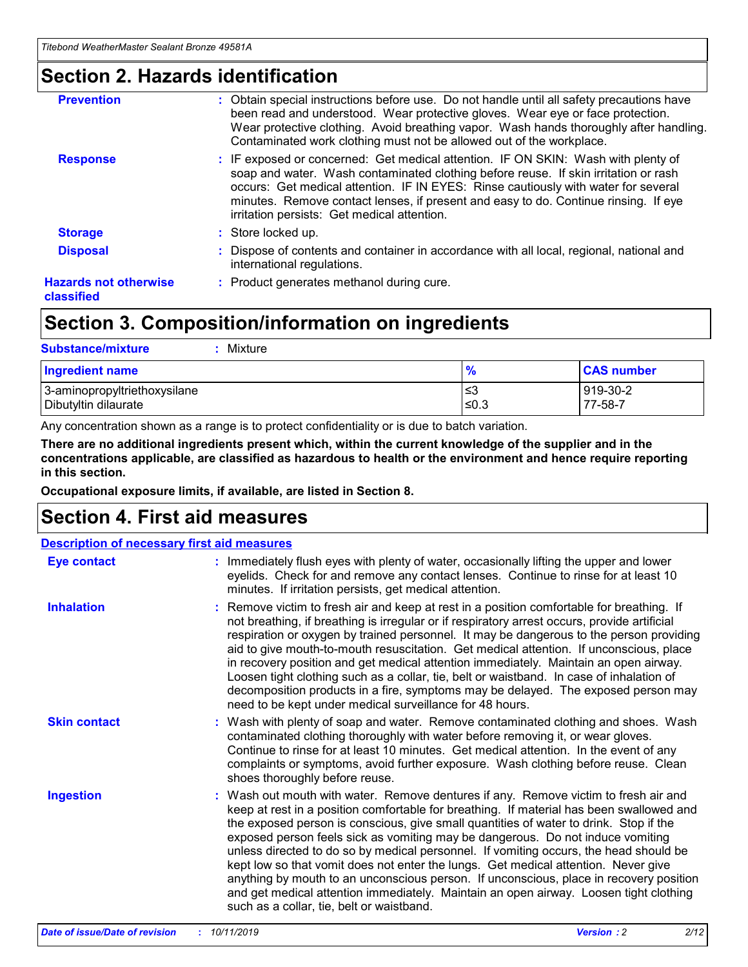### **Section 2. Hazards identification**

| <b>Prevention</b>                          | : Obtain special instructions before use. Do not handle until all safety precautions have<br>been read and understood. Wear protective gloves. Wear eye or face protection.<br>Wear protective clothing. Avoid breathing vapor. Wash hands thoroughly after handling.<br>Contaminated work clothing must not be allowed out of the workplace.                                                        |
|--------------------------------------------|------------------------------------------------------------------------------------------------------------------------------------------------------------------------------------------------------------------------------------------------------------------------------------------------------------------------------------------------------------------------------------------------------|
| <b>Response</b>                            | : IF exposed or concerned: Get medical attention. IF ON SKIN: Wash with plenty of<br>soap and water. Wash contaminated clothing before reuse. If skin irritation or rash<br>occurs: Get medical attention. IF IN EYES: Rinse cautiously with water for several<br>minutes. Remove contact lenses, if present and easy to do. Continue rinsing. If eye<br>irritation persists: Get medical attention. |
| <b>Storage</b>                             | : Store locked up.                                                                                                                                                                                                                                                                                                                                                                                   |
| <b>Disposal</b>                            | : Dispose of contents and container in accordance with all local, regional, national and<br>international regulations.                                                                                                                                                                                                                                                                               |
| <b>Hazards not otherwise</b><br>classified | : Product generates methanol during cure.                                                                                                                                                                                                                                                                                                                                                            |
|                                            |                                                                                                                                                                                                                                                                                                                                                                                                      |

### **Section 3. Composition/information on ingredients**

| <b>Substance/mixture</b><br>: Mixture                |               |                     |
|------------------------------------------------------|---------------|---------------------|
| Ingredient name                                      | $\frac{9}{6}$ | <b>CAS number</b>   |
| 3-aminopropyltriethoxysilane<br>Dibutyltin dilaurate | צ≥<br>≤0.3    | 919-30-2<br>77-58-7 |

Any concentration shown as a range is to protect confidentiality or is due to batch variation.

**There are no additional ingredients present which, within the current knowledge of the supplier and in the concentrations applicable, are classified as hazardous to health or the environment and hence require reporting in this section.**

**Occupational exposure limits, if available, are listed in Section 8.**

### **Section 4. First aid measures**

| <b>Description of necessary first aid measures</b> |                                                                                                                                                                                                                                                                                                                                                                                                                                                                                                                                                                                                                                                                                                                                                                           |  |  |  |
|----------------------------------------------------|---------------------------------------------------------------------------------------------------------------------------------------------------------------------------------------------------------------------------------------------------------------------------------------------------------------------------------------------------------------------------------------------------------------------------------------------------------------------------------------------------------------------------------------------------------------------------------------------------------------------------------------------------------------------------------------------------------------------------------------------------------------------------|--|--|--|
| <b>Eye contact</b>                                 | : Immediately flush eyes with plenty of water, occasionally lifting the upper and lower<br>eyelids. Check for and remove any contact lenses. Continue to rinse for at least 10<br>minutes. If irritation persists, get medical attention.                                                                                                                                                                                                                                                                                                                                                                                                                                                                                                                                 |  |  |  |
| <b>Inhalation</b>                                  | : Remove victim to fresh air and keep at rest in a position comfortable for breathing. If<br>not breathing, if breathing is irregular or if respiratory arrest occurs, provide artificial<br>respiration or oxygen by trained personnel. It may be dangerous to the person providing<br>aid to give mouth-to-mouth resuscitation. Get medical attention. If unconscious, place<br>in recovery position and get medical attention immediately. Maintain an open airway.<br>Loosen tight clothing such as a collar, tie, belt or waistband. In case of inhalation of<br>decomposition products in a fire, symptoms may be delayed. The exposed person may<br>need to be kept under medical surveillance for 48 hours.                                                       |  |  |  |
| <b>Skin contact</b>                                | : Wash with plenty of soap and water. Remove contaminated clothing and shoes. Wash<br>contaminated clothing thoroughly with water before removing it, or wear gloves.<br>Continue to rinse for at least 10 minutes. Get medical attention. In the event of any<br>complaints or symptoms, avoid further exposure. Wash clothing before reuse. Clean<br>shoes thoroughly before reuse.                                                                                                                                                                                                                                                                                                                                                                                     |  |  |  |
| <b>Ingestion</b>                                   | : Wash out mouth with water. Remove dentures if any. Remove victim to fresh air and<br>keep at rest in a position comfortable for breathing. If material has been swallowed and<br>the exposed person is conscious, give small quantities of water to drink. Stop if the<br>exposed person feels sick as vomiting may be dangerous. Do not induce vomiting<br>unless directed to do so by medical personnel. If vomiting occurs, the head should be<br>kept low so that vomit does not enter the lungs. Get medical attention. Never give<br>anything by mouth to an unconscious person. If unconscious, place in recovery position<br>and get medical attention immediately. Maintain an open airway. Loosen tight clothing<br>such as a collar, tie, belt or waistband. |  |  |  |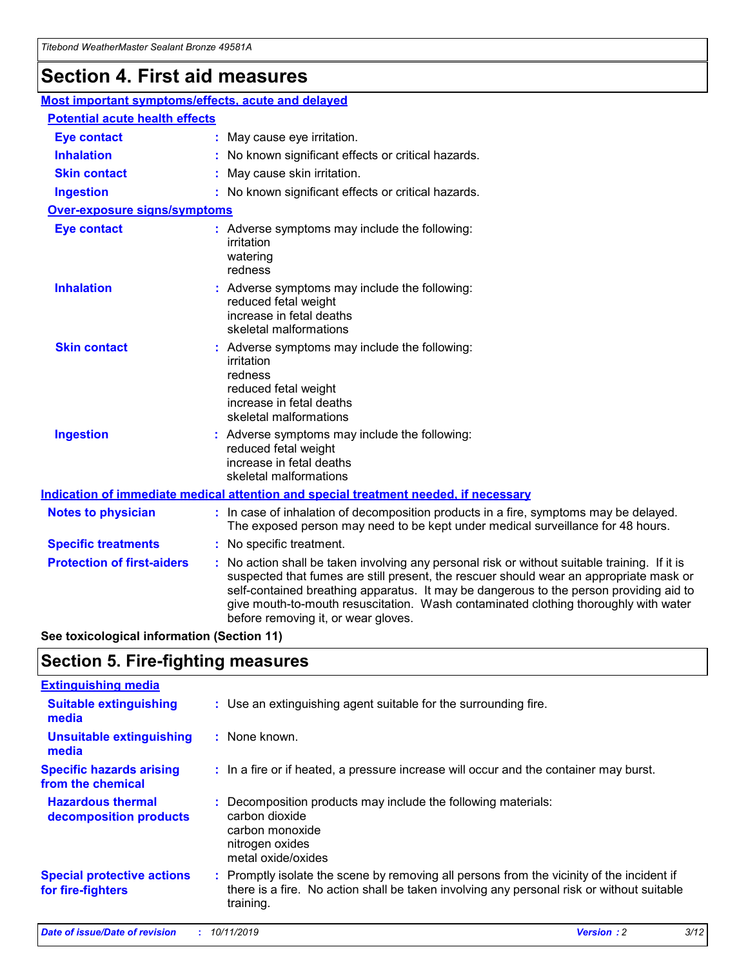## **Section 4. First aid measures**

| Most important symptoms/effects, acute and delayed |  |                                                                                                                                                                                                                                                                                                                                                                                                                 |
|----------------------------------------------------|--|-----------------------------------------------------------------------------------------------------------------------------------------------------------------------------------------------------------------------------------------------------------------------------------------------------------------------------------------------------------------------------------------------------------------|
| <b>Potential acute health effects</b>              |  |                                                                                                                                                                                                                                                                                                                                                                                                                 |
| <b>Eye contact</b>                                 |  | : May cause eye irritation.                                                                                                                                                                                                                                                                                                                                                                                     |
| <b>Inhalation</b>                                  |  | : No known significant effects or critical hazards.                                                                                                                                                                                                                                                                                                                                                             |
| <b>Skin contact</b>                                |  | : May cause skin irritation.                                                                                                                                                                                                                                                                                                                                                                                    |
| <b>Ingestion</b>                                   |  | : No known significant effects or critical hazards.                                                                                                                                                                                                                                                                                                                                                             |
| <b>Over-exposure signs/symptoms</b>                |  |                                                                                                                                                                                                                                                                                                                                                                                                                 |
| <b>Eye contact</b>                                 |  | : Adverse symptoms may include the following:<br>irritation<br>watering<br>redness                                                                                                                                                                                                                                                                                                                              |
| <b>Inhalation</b>                                  |  | : Adverse symptoms may include the following:<br>reduced fetal weight<br>increase in fetal deaths<br>skeletal malformations                                                                                                                                                                                                                                                                                     |
| <b>Skin contact</b>                                |  | : Adverse symptoms may include the following:<br>irritation<br>redness<br>reduced fetal weight<br>increase in fetal deaths<br>skeletal malformations                                                                                                                                                                                                                                                            |
| <b>Ingestion</b>                                   |  | : Adverse symptoms may include the following:<br>reduced fetal weight<br>increase in fetal deaths<br>skeletal malformations                                                                                                                                                                                                                                                                                     |
|                                                    |  | <b>Indication of immediate medical attention and special treatment needed, if necessary</b>                                                                                                                                                                                                                                                                                                                     |
| <b>Notes to physician</b>                          |  | : In case of inhalation of decomposition products in a fire, symptoms may be delayed.<br>The exposed person may need to be kept under medical surveillance for 48 hours.                                                                                                                                                                                                                                        |
| <b>Specific treatments</b>                         |  | : No specific treatment.                                                                                                                                                                                                                                                                                                                                                                                        |
| <b>Protection of first-aiders</b>                  |  | : No action shall be taken involving any personal risk or without suitable training. If it is<br>suspected that fumes are still present, the rescuer should wear an appropriate mask or<br>self-contained breathing apparatus. It may be dangerous to the person providing aid to<br>give mouth-to-mouth resuscitation. Wash contaminated clothing thoroughly with water<br>before removing it, or wear gloves. |

**See toxicological information (Section 11)**

### **Section 5. Fire-fighting measures**

| <b>Extinguishing media</b>                             |                                                                                                                                                                                                     |
|--------------------------------------------------------|-----------------------------------------------------------------------------------------------------------------------------------------------------------------------------------------------------|
| <b>Suitable extinguishing</b><br>media                 | : Use an extinguishing agent suitable for the surrounding fire.                                                                                                                                     |
| <b>Unsuitable extinguishing</b><br>media               | : None known.                                                                                                                                                                                       |
| <b>Specific hazards arising</b><br>from the chemical   | : In a fire or if heated, a pressure increase will occur and the container may burst.                                                                                                               |
| <b>Hazardous thermal</b><br>decomposition products     | : Decomposition products may include the following materials:<br>carbon dioxide<br>carbon monoxide<br>nitrogen oxides<br>metal oxide/oxides                                                         |
| <b>Special protective actions</b><br>for fire-fighters | : Promptly isolate the scene by removing all persons from the vicinity of the incident if<br>there is a fire. No action shall be taken involving any personal risk or without suitable<br>training. |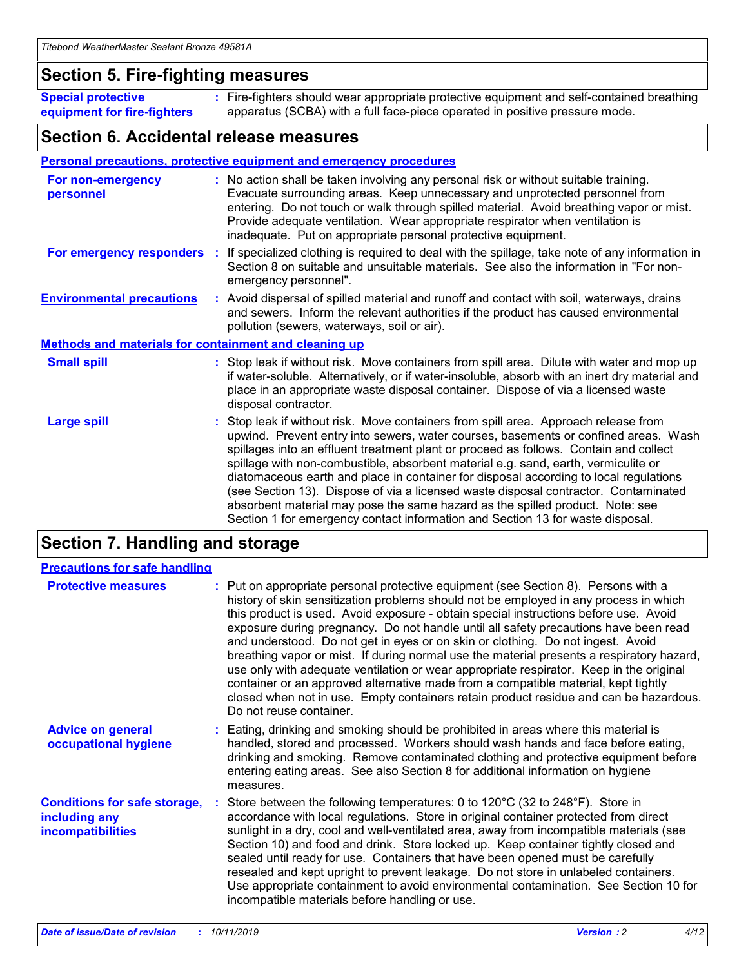### **Section 5. Fire-fighting measures**

**Special protective equipment for fire-fighters** Fire-fighters should wear appropriate protective equipment and self-contained breathing **:** apparatus (SCBA) with a full face-piece operated in positive pressure mode.

### **Section 6. Accidental release measures**

#### **Personal precautions, protective equipment and emergency procedures**

| For non-emergency<br>personnel                               | : No action shall be taken involving any personal risk or without suitable training.<br>Evacuate surrounding areas. Keep unnecessary and unprotected personnel from<br>entering. Do not touch or walk through spilled material. Avoid breathing vapor or mist.<br>Provide adequate ventilation. Wear appropriate respirator when ventilation is<br>inadequate. Put on appropriate personal protective equipment.                                                                                                                                                                                                                                                                                             |
|--------------------------------------------------------------|--------------------------------------------------------------------------------------------------------------------------------------------------------------------------------------------------------------------------------------------------------------------------------------------------------------------------------------------------------------------------------------------------------------------------------------------------------------------------------------------------------------------------------------------------------------------------------------------------------------------------------------------------------------------------------------------------------------|
|                                                              | For emergency responders : If specialized clothing is required to deal with the spillage, take note of any information in<br>Section 8 on suitable and unsuitable materials. See also the information in "For non-<br>emergency personnel".                                                                                                                                                                                                                                                                                                                                                                                                                                                                  |
| <b>Environmental precautions</b>                             | : Avoid dispersal of spilled material and runoff and contact with soil, waterways, drains<br>and sewers. Inform the relevant authorities if the product has caused environmental<br>pollution (sewers, waterways, soil or air).                                                                                                                                                                                                                                                                                                                                                                                                                                                                              |
| <b>Methods and materials for containment and cleaning up</b> |                                                                                                                                                                                                                                                                                                                                                                                                                                                                                                                                                                                                                                                                                                              |
| <b>Small spill</b>                                           | : Stop leak if without risk. Move containers from spill area. Dilute with water and mop up<br>if water-soluble. Alternatively, or if water-insoluble, absorb with an inert dry material and<br>place in an appropriate waste disposal container. Dispose of via a licensed waste<br>disposal contractor.                                                                                                                                                                                                                                                                                                                                                                                                     |
| <b>Large spill</b>                                           | : Stop leak if without risk. Move containers from spill area. Approach release from<br>upwind. Prevent entry into sewers, water courses, basements or confined areas. Wash<br>spillages into an effluent treatment plant or proceed as follows. Contain and collect<br>spillage with non-combustible, absorbent material e.g. sand, earth, vermiculite or<br>diatomaceous earth and place in container for disposal according to local regulations<br>(see Section 13). Dispose of via a licensed waste disposal contractor. Contaminated<br>absorbent material may pose the same hazard as the spilled product. Note: see<br>Section 1 for emergency contact information and Section 13 for waste disposal. |

### **Section 7. Handling and storage**

| <b>Precautions for safe handling</b>                                             |                                                                                                                                                                                                                                                                                                                                                                                                                                                                                                                                                                                                                                                                                                                                                                                                                                                  |
|----------------------------------------------------------------------------------|--------------------------------------------------------------------------------------------------------------------------------------------------------------------------------------------------------------------------------------------------------------------------------------------------------------------------------------------------------------------------------------------------------------------------------------------------------------------------------------------------------------------------------------------------------------------------------------------------------------------------------------------------------------------------------------------------------------------------------------------------------------------------------------------------------------------------------------------------|
| <b>Protective measures</b>                                                       | : Put on appropriate personal protective equipment (see Section 8). Persons with a<br>history of skin sensitization problems should not be employed in any process in which<br>this product is used. Avoid exposure - obtain special instructions before use. Avoid<br>exposure during pregnancy. Do not handle until all safety precautions have been read<br>and understood. Do not get in eyes or on skin or clothing. Do not ingest. Avoid<br>breathing vapor or mist. If during normal use the material presents a respiratory hazard,<br>use only with adequate ventilation or wear appropriate respirator. Keep in the original<br>container or an approved alternative made from a compatible material, kept tightly<br>closed when not in use. Empty containers retain product residue and can be hazardous.<br>Do not reuse container. |
| <b>Advice on general</b><br>occupational hygiene                                 | : Eating, drinking and smoking should be prohibited in areas where this material is<br>handled, stored and processed. Workers should wash hands and face before eating,<br>drinking and smoking. Remove contaminated clothing and protective equipment before<br>entering eating areas. See also Section 8 for additional information on hygiene<br>measures.                                                                                                                                                                                                                                                                                                                                                                                                                                                                                    |
| <b>Conditions for safe storage,</b><br>including any<br><b>incompatibilities</b> | : Store between the following temperatures: 0 to 120 $\degree$ C (32 to 248 $\degree$ F). Store in<br>accordance with local regulations. Store in original container protected from direct<br>sunlight in a dry, cool and well-ventilated area, away from incompatible materials (see<br>Section 10) and food and drink. Store locked up. Keep container tightly closed and<br>sealed until ready for use. Containers that have been opened must be carefully<br>resealed and kept upright to prevent leakage. Do not store in unlabeled containers.<br>Use appropriate containment to avoid environmental contamination. See Section 10 for<br>incompatible materials before handling or use.                                                                                                                                                   |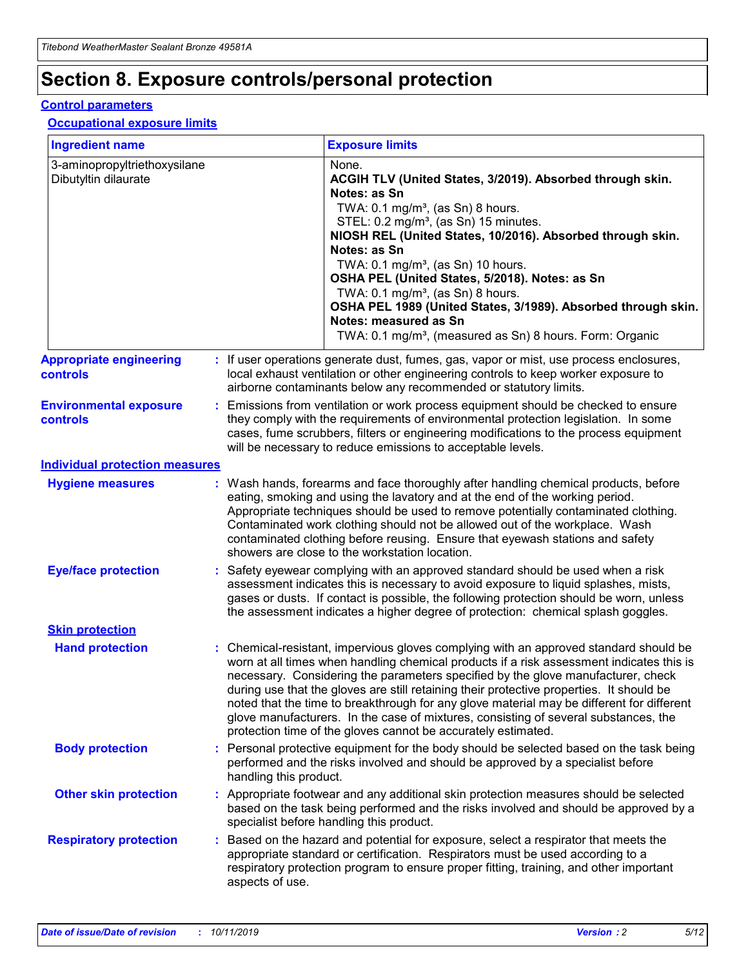## **Section 8. Exposure controls/personal protection**

#### **Control parameters**

#### **Occupational exposure limits**

| <b>Ingredient name</b>                               |    |                        | <b>Exposure limits</b>                                                                                                                                                                                                                                                                                                                                                                                                                                                                                                                                                                                                 |
|------------------------------------------------------|----|------------------------|------------------------------------------------------------------------------------------------------------------------------------------------------------------------------------------------------------------------------------------------------------------------------------------------------------------------------------------------------------------------------------------------------------------------------------------------------------------------------------------------------------------------------------------------------------------------------------------------------------------------|
| 3-aminopropyltriethoxysilane<br>Dibutyltin dilaurate |    |                        | None.<br>ACGIH TLV (United States, 3/2019). Absorbed through skin.<br>Notes: as Sn<br>TWA: $0.1 \text{ mg/m}^3$ , (as Sn) 8 hours.<br>STEL: 0.2 mg/m <sup>3</sup> , (as Sn) 15 minutes.<br>NIOSH REL (United States, 10/2016). Absorbed through skin.<br>Notes: as Sn<br>TWA: 0.1 mg/m <sup>3</sup> , (as Sn) 10 hours.<br>OSHA PEL (United States, 5/2018). Notes: as Sn<br>TWA: $0.1 \text{ mg/m}^3$ , (as Sn) 8 hours.<br>OSHA PEL 1989 (United States, 3/1989). Absorbed through skin.<br>Notes: measured as Sn<br>TWA: 0.1 mg/m <sup>3</sup> , (measured as Sn) 8 hours. Form: Organic                            |
| <b>Appropriate engineering</b><br>controls           |    |                        | : If user operations generate dust, fumes, gas, vapor or mist, use process enclosures,<br>local exhaust ventilation or other engineering controls to keep worker exposure to<br>airborne contaminants below any recommended or statutory limits.                                                                                                                                                                                                                                                                                                                                                                       |
| <b>Environmental exposure</b><br>controls            |    |                        | Emissions from ventilation or work process equipment should be checked to ensure<br>they comply with the requirements of environmental protection legislation. In some<br>cases, fume scrubbers, filters or engineering modifications to the process equipment<br>will be necessary to reduce emissions to acceptable levels.                                                                                                                                                                                                                                                                                          |
| <b>Individual protection measures</b>                |    |                        |                                                                                                                                                                                                                                                                                                                                                                                                                                                                                                                                                                                                                        |
| <b>Hygiene measures</b>                              |    |                        | : Wash hands, forearms and face thoroughly after handling chemical products, before<br>eating, smoking and using the lavatory and at the end of the working period.<br>Appropriate techniques should be used to remove potentially contaminated clothing.<br>Contaminated work clothing should not be allowed out of the workplace. Wash<br>contaminated clothing before reusing. Ensure that eyewash stations and safety<br>showers are close to the workstation location.                                                                                                                                            |
| <b>Eye/face protection</b>                           |    |                        | : Safety eyewear complying with an approved standard should be used when a risk<br>assessment indicates this is necessary to avoid exposure to liquid splashes, mists,<br>gases or dusts. If contact is possible, the following protection should be worn, unless<br>the assessment indicates a higher degree of protection: chemical splash goggles.                                                                                                                                                                                                                                                                  |
| <b>Skin protection</b>                               |    |                        |                                                                                                                                                                                                                                                                                                                                                                                                                                                                                                                                                                                                                        |
| <b>Hand protection</b>                               |    |                        | : Chemical-resistant, impervious gloves complying with an approved standard should be<br>worn at all times when handling chemical products if a risk assessment indicates this is<br>necessary. Considering the parameters specified by the glove manufacturer, check<br>during use that the gloves are still retaining their protective properties. It should be<br>noted that the time to breakthrough for any glove material may be different for different<br>glove manufacturers. In the case of mixtures, consisting of several substances, the<br>protection time of the gloves cannot be accurately estimated. |
| <b>Body protection</b>                               |    | handling this product. | Personal protective equipment for the body should be selected based on the task being<br>performed and the risks involved and should be approved by a specialist before                                                                                                                                                                                                                                                                                                                                                                                                                                                |
| <b>Other skin protection</b>                         |    |                        | : Appropriate footwear and any additional skin protection measures should be selected<br>based on the task being performed and the risks involved and should be approved by a<br>specialist before handling this product.                                                                                                                                                                                                                                                                                                                                                                                              |
| <b>Respiratory protection</b>                        | ÷. | aspects of use.        | Based on the hazard and potential for exposure, select a respirator that meets the<br>appropriate standard or certification. Respirators must be used according to a<br>respiratory protection program to ensure proper fitting, training, and other important                                                                                                                                                                                                                                                                                                                                                         |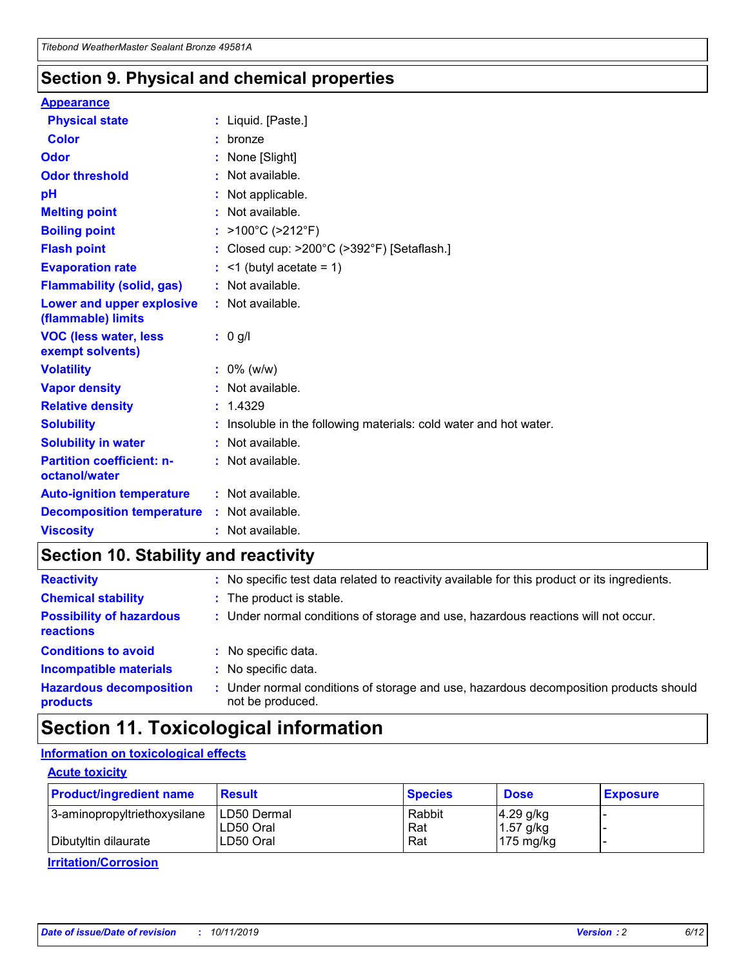### **Section 9. Physical and chemical properties**

#### **Appearance**

| <b>Physical state</b>                             | : Liquid. [Paste.]                                              |
|---------------------------------------------------|-----------------------------------------------------------------|
| Color                                             | bronze                                                          |
| Odor                                              | None [Slight]                                                   |
| <b>Odor threshold</b>                             | $:$ Not available.                                              |
| рH                                                | : Not applicable.                                               |
| <b>Melting point</b>                              | : Not available.                                                |
| <b>Boiling point</b>                              | : $>100^{\circ}$ C ( $>212^{\circ}$ F)                          |
| <b>Flash point</b>                                | : Closed cup: >200°C (>392°F) [Setaflash.]                      |
| <b>Evaporation rate</b>                           | $:$ <1 (butyl acetate = 1)                                      |
| <b>Flammability (solid, gas)</b>                  | : Not available.                                                |
| Lower and upper explosive<br>(flammable) limits   | $:$ Not available.                                              |
| <b>VOC (less water, less</b>                      | : 0 g/l                                                         |
| exempt solvents)                                  |                                                                 |
| <b>Volatility</b>                                 | $: 0\%$ (w/w)                                                   |
| <b>Vapor density</b>                              | : Not available.                                                |
| <b>Relative density</b>                           | : 1.4329                                                        |
| <b>Solubility</b>                                 | Insoluble in the following materials: cold water and hot water. |
| <b>Solubility in water</b>                        | : Not available.                                                |
| <b>Partition coefficient: n-</b><br>octanol/water | $:$ Not available.                                              |
| <b>Auto-ignition temperature</b>                  | : Not available.                                                |
| <b>Decomposition temperature</b>                  | : Not available.                                                |

### **Section 10. Stability and reactivity**

| <b>Reactivity</b>                            |    | : No specific test data related to reactivity available for this product or its ingredients.            |
|----------------------------------------------|----|---------------------------------------------------------------------------------------------------------|
| <b>Chemical stability</b>                    |    | : The product is stable.                                                                                |
| <b>Possibility of hazardous</b><br>reactions |    | : Under normal conditions of storage and use, hazardous reactions will not occur.                       |
| <b>Conditions to avoid</b>                   |    | : No specific data.                                                                                     |
| <b>Incompatible materials</b>                | ٠. | No specific data.                                                                                       |
| <b>Hazardous decomposition</b><br>products   | ÷. | Under normal conditions of storage and use, hazardous decomposition products should<br>not be produced. |

### **Section 11. Toxicological information**

#### **Information on toxicological effects**

#### **Acute toxicity**

| <b>Product/ingredient name</b> | <b>Result</b>           | <b>Species</b> | <b>Dose</b>                | <b>Exposure</b> |
|--------------------------------|-------------------------|----------------|----------------------------|-----------------|
| 3-aminopropyltriethoxysilane   | <b>ILD50 Dermal</b>     | Rabbit         | 4.29 g/kg                  |                 |
| Dibutyltin dilaurate           | ILD50 Oral<br>LD50 Oral | Rat<br>Rat     | $1.57$ g/kg<br>175 $mg/kg$ |                 |
|                                |                         |                |                            |                 |

**Irritation/Corrosion**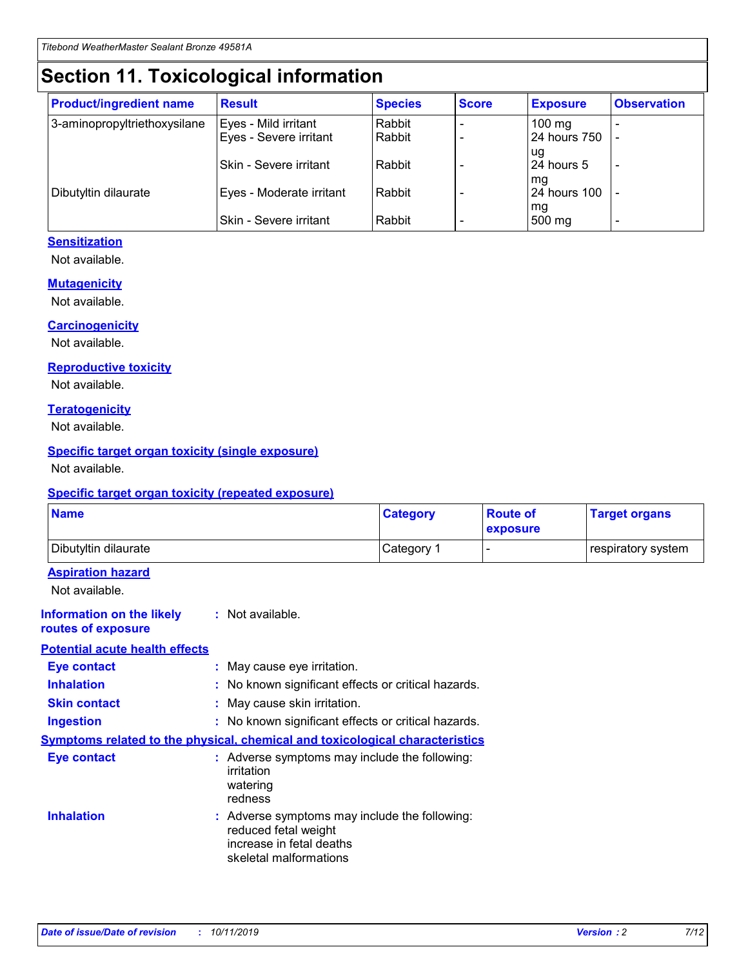## **Section 11. Toxicological information**

| <b>Product/ingredient name</b> | <b>Result</b>            | <b>Species</b> | <b>Score</b> | <b>Exposure</b>           | <b>Observation</b> |
|--------------------------------|--------------------------|----------------|--------------|---------------------------|--------------------|
| 3-aminopropyltriethoxysilane   | Eyes - Mild irritant     | Rabbit         |              | $100$ mg                  |                    |
|                                | Eyes - Severe irritant   | Rabbit         |              | 24 hours 750              |                    |
|                                |                          |                |              | ug                        |                    |
|                                | Skin - Severe irritant   | Rabbit         |              | 24 hours 5                | -                  |
| Dibutyltin dilaurate           | Eyes - Moderate irritant | Rabbit         |              | mq<br><b>24 hours 100</b> |                    |
|                                |                          |                |              | mg                        |                    |
|                                | Skin - Severe irritant   | Rabbit         |              | 500 mg                    |                    |

#### **Sensitization**

Not available.

#### **Mutagenicity**

Not available.

#### **Carcinogenicity**

Not available.

#### **Reproductive toxicity**

Not available.

#### **Teratogenicity**

Not available.

#### **Specific target organ toxicity (single exposure)**

Not available.

#### **Specific target organ toxicity (repeated exposure)**

| <b>Name</b>                                                                         |                                                                            | <b>Category</b>                                     | <b>Route of</b><br>exposure | <b>Target organs</b> |
|-------------------------------------------------------------------------------------|----------------------------------------------------------------------------|-----------------------------------------------------|-----------------------------|----------------------|
| Dibutyltin dilaurate                                                                |                                                                            | Category 1                                          |                             | respiratory system   |
| <b>Aspiration hazard</b><br>Not available.                                          |                                                                            |                                                     |                             |                      |
| <b>Information on the likely</b><br>routes of exposure                              | : Not available.                                                           |                                                     |                             |                      |
| <b>Potential acute health effects</b>                                               |                                                                            |                                                     |                             |                      |
| <b>Eye contact</b>                                                                  | : May cause eye irritation.                                                |                                                     |                             |                      |
| <b>Inhalation</b>                                                                   |                                                                            | : No known significant effects or critical hazards. |                             |                      |
| <b>Skin contact</b>                                                                 | : May cause skin irritation.                                               |                                                     |                             |                      |
| <b>Ingestion</b>                                                                    |                                                                            | : No known significant effects or critical hazards. |                             |                      |
| <b>Symptoms related to the physical, chemical and toxicological characteristics</b> |                                                                            |                                                     |                             |                      |
| <b>Eye contact</b>                                                                  | irritation<br>watering<br>redness                                          | : Adverse symptoms may include the following:       |                             |                      |
| <b>Inhalation</b>                                                                   | reduced fetal weight<br>increase in fetal deaths<br>skeletal malformations | : Adverse symptoms may include the following:       |                             |                      |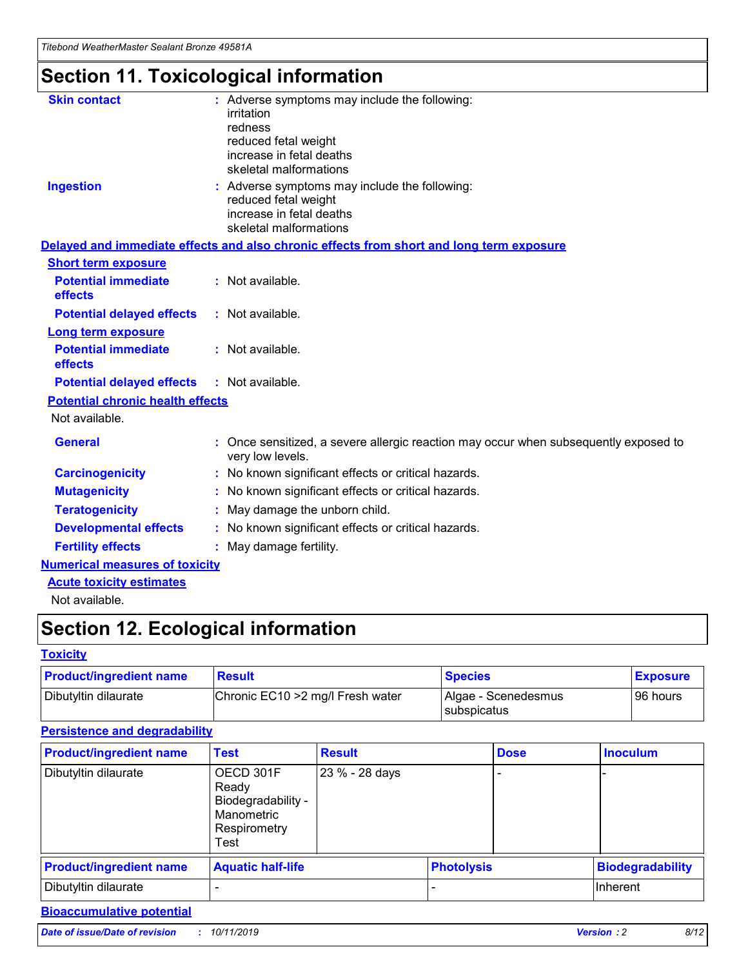*Titebond WeatherMaster Sealant Bronze 49581A*

## **Section 11. Toxicological information**

| <b>Skin contact</b>                     | : Adverse symptoms may include the following:                                                            |
|-----------------------------------------|----------------------------------------------------------------------------------------------------------|
|                                         | irritation                                                                                               |
|                                         | redness                                                                                                  |
|                                         | reduced fetal weight                                                                                     |
|                                         | increase in fetal deaths                                                                                 |
|                                         | skeletal malformations                                                                                   |
| <b>Ingestion</b>                        | : Adverse symptoms may include the following:                                                            |
|                                         | reduced fetal weight                                                                                     |
|                                         | increase in fetal deaths                                                                                 |
|                                         | skeletal malformations                                                                                   |
|                                         | Delayed and immediate effects and also chronic effects from short and long term exposure                 |
| <b>Short term exposure</b>              |                                                                                                          |
| <b>Potential immediate</b>              | : Not available.                                                                                         |
| effects                                 |                                                                                                          |
| <b>Potential delayed effects</b>        | : Not available.                                                                                         |
| Long term exposure                      |                                                                                                          |
| <b>Potential immediate</b>              | : Not available.                                                                                         |
| effects                                 |                                                                                                          |
| <b>Potential delayed effects</b>        | : Not available.                                                                                         |
| <b>Potential chronic health effects</b> |                                                                                                          |
| Not available.                          |                                                                                                          |
| <b>General</b>                          | : Once sensitized, a severe allergic reaction may occur when subsequently exposed to<br>very low levels. |
| <b>Carcinogenicity</b>                  | : No known significant effects or critical hazards.                                                      |
| <b>Mutagenicity</b>                     | : No known significant effects or critical hazards.                                                      |
| <b>Teratogenicity</b>                   | May damage the unborn child.                                                                             |
| <b>Developmental effects</b>            | : No known significant effects or critical hazards.                                                      |
| <b>Fertility effects</b>                | May damage fertility.                                                                                    |
| <b>Numerical measures of toxicity</b>   |                                                                                                          |
| <b>Acute toxicity estimates</b>         |                                                                                                          |
| الملحلة والمستحيط والمسالم              |                                                                                                          |

Not available.

## **Section 12. Ecological information**

#### **Toxicity**

| <b>Product/ingredient name</b> | <b>Result</b>                     | <b>Species</b>                       | <b>Exposure</b> |
|--------------------------------|-----------------------------------|--------------------------------------|-----------------|
| Dibutyltin dilaurate           | Chronic EC10 > 2 mg/l Fresh water | Algae - Scenedesmus<br>I subspicatus | l 96 hours i    |

### **Persistence and degradability**

| <b>Product/ingredient name</b> | <b>Test</b>                                                                    | <b>Result</b>  |                   | <b>Dose</b> | <b>Inoculum</b>         |
|--------------------------------|--------------------------------------------------------------------------------|----------------|-------------------|-------------|-------------------------|
| Dibutyltin dilaurate           | OECD 301F<br>Ready<br>Biodegradability -<br>Manometric<br>Respirometry<br>Test | 23 % - 28 days |                   |             |                         |
| <b>Product/ingredient name</b> | <b>Aquatic half-life</b>                                                       |                | <b>Photolysis</b> |             | <b>Biodegradability</b> |
| Dibutyltin dilaurate           |                                                                                |                |                   |             | Inherent                |

#### **Bioaccumulative potential**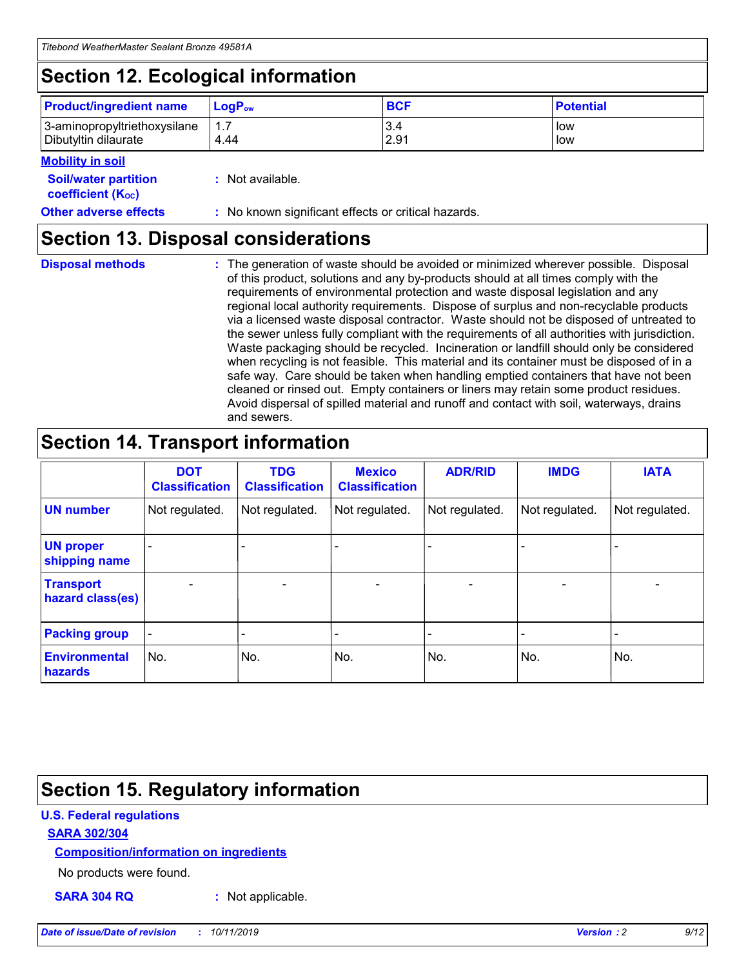## **Section 12. Ecological information**

| <b>Product/ingredient name</b> | $LoaPow$ | <b>BCF</b> | <b>Potential</b> |
|--------------------------------|----------|------------|------------------|
| 3-aminopropyltriethoxysilane   | 1.7      | 3.4        | low              |
| Dibutyltin dilaurate           | 4.44     | 2.91       | low              |

#### **Mobility in soil**

| <i></i>                                                       |                                                     |
|---------------------------------------------------------------|-----------------------------------------------------|
| <b>Soil/water partition</b><br>coefficient (K <sub>oc</sub> ) | : Not available.                                    |
| <b>Other adverse effects</b>                                  | : No known significant effects or critical hazards. |

### **Section 13. Disposal considerations**

**Disposal methods :**

The generation of waste should be avoided or minimized wherever possible. Disposal of this product, solutions and any by-products should at all times comply with the requirements of environmental protection and waste disposal legislation and any regional local authority requirements. Dispose of surplus and non-recyclable products via a licensed waste disposal contractor. Waste should not be disposed of untreated to the sewer unless fully compliant with the requirements of all authorities with jurisdiction. Waste packaging should be recycled. Incineration or landfill should only be considered when recycling is not feasible. This material and its container must be disposed of in a safe way. Care should be taken when handling emptied containers that have not been cleaned or rinsed out. Empty containers or liners may retain some product residues. Avoid dispersal of spilled material and runoff and contact with soil, waterways, drains and sewers.

## **Section 14. Transport information**

|                                      | <b>DOT</b><br><b>Classification</b> | <b>TDG</b><br><b>Classification</b> | <b>Mexico</b><br><b>Classification</b> | <b>ADR/RID</b>           | <b>IMDG</b>     | <b>IATA</b>              |
|--------------------------------------|-------------------------------------|-------------------------------------|----------------------------------------|--------------------------|-----------------|--------------------------|
| <b>UN number</b>                     | Not regulated.                      | Not regulated.                      | Not regulated.                         | Not regulated.           | Not regulated.  | Not regulated.           |
| <b>UN proper</b><br>shipping name    | $\qquad \qquad$                     |                                     |                                        |                          |                 |                          |
| <b>Transport</b><br>hazard class(es) | $\overline{\phantom{m}}$            | $\qquad \qquad$                     | $\qquad \qquad$                        | $\overline{\phantom{a}}$ | $\qquad \qquad$ | $\overline{\phantom{0}}$ |
| <b>Packing group</b>                 | $\overline{\phantom{a}}$            | -                                   |                                        |                          |                 |                          |
| <b>Environmental</b><br>hazards      | No.                                 | No.                                 | No.                                    | No.                      | No.             | No.                      |

## **Section 15. Regulatory information**

#### **U.S. Federal regulations**

#### **SARA 302/304**

#### **Composition/information on ingredients**

No products were found.

**SARA 304 RQ :** Not applicable.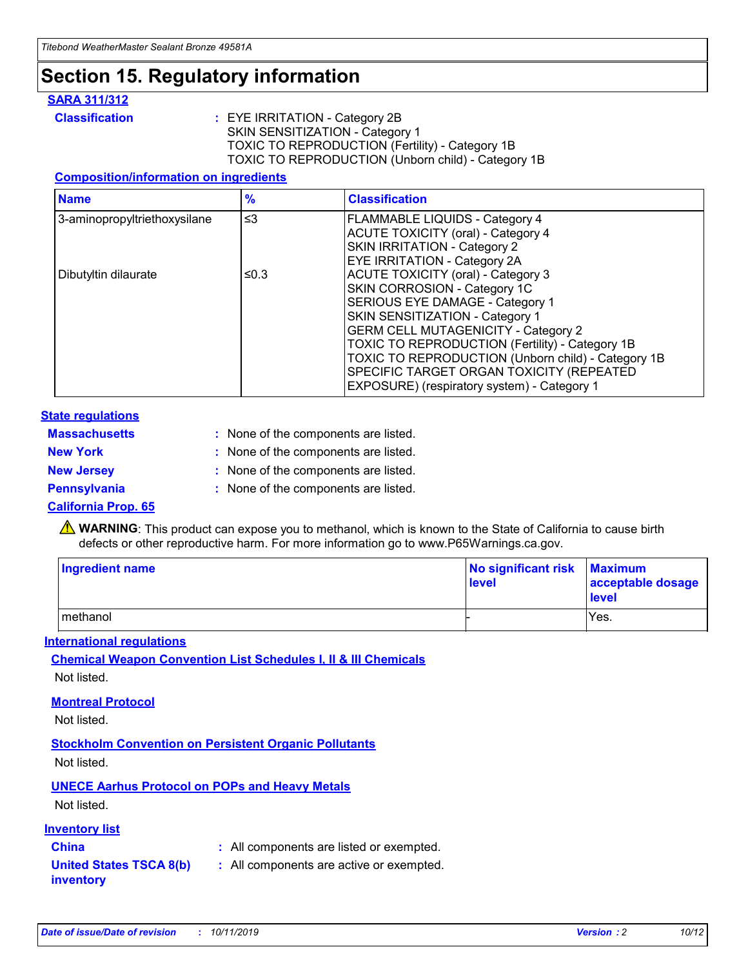## **Section 15. Regulatory information**

#### **SARA 311/312**

**Classification :** EYE IRRITATION - Category 2B SKIN SENSITIZATION - Category 1 TOXIC TO REPRODUCTION (Fertility) - Category 1B TOXIC TO REPRODUCTION (Unborn child) - Category 1B

#### **Composition/information on ingredients**

| <b>Name</b>                  | $\frac{9}{6}$ | <b>Classification</b>                                  |
|------------------------------|---------------|--------------------------------------------------------|
| 3-aminopropyltriethoxysilane | $\leq$ 3      | <b>FLAMMABLE LIQUIDS - Category 4</b>                  |
|                              |               | <b>ACUTE TOXICITY (oral) - Category 4</b>              |
|                              |               | SKIN IRRITATION - Category 2                           |
|                              |               | EYE IRRITATION - Category 2A                           |
| Dibutyltin dilaurate         | ≤0.3          | <b>ACUTE TOXICITY (oral) - Category 3</b>              |
|                              |               | SKIN CORROSION - Category 1C                           |
|                              |               | SERIOUS EYE DAMAGE - Category 1                        |
|                              |               | SKIN SENSITIZATION - Category 1                        |
|                              |               | <b>GERM CELL MUTAGENICITY - Category 2</b>             |
|                              |               | <b>TOXIC TO REPRODUCTION (Fertility) - Category 1B</b> |
|                              |               | TOXIC TO REPRODUCTION (Unborn child) - Category 1B     |
|                              |               | SPECIFIC TARGET ORGAN TOXICITY (REPEATED               |
|                              |               | EXPOSURE) (respiratory system) - Category 1            |

#### **State regulations**

| <b>Massachusetts</b> | : None of the components are listed. |
|----------------------|--------------------------------------|
| <b>New York</b>      | : None of the components are listed. |
| <b>New Jersey</b>    | : None of the components are listed. |
| Pennsylvania         | : None of the components are listed. |

#### **California Prop. 65**

**A** WARNING: This product can expose you to methanol, which is known to the State of California to cause birth defects or other reproductive harm. For more information go to www.P65Warnings.ca.gov.

| <b>Ingredient name</b> | No significant risk Maximum<br>level | acceptable dosage<br>level |
|------------------------|--------------------------------------|----------------------------|
| methanol               |                                      | Yes.                       |

#### **International regulations**

**Chemical Weapon Convention List Schedules I, II & III Chemicals** Not listed.

#### **Montreal Protocol**

Not listed.

#### **Stockholm Convention on Persistent Organic Pollutants**

Not listed.

#### **UNECE Aarhus Protocol on POPs and Heavy Metals**

Not listed.

#### **Inventory list**

### **China :** All components are listed or exempted.

**United States TSCA 8(b) inventory :** All components are active or exempted.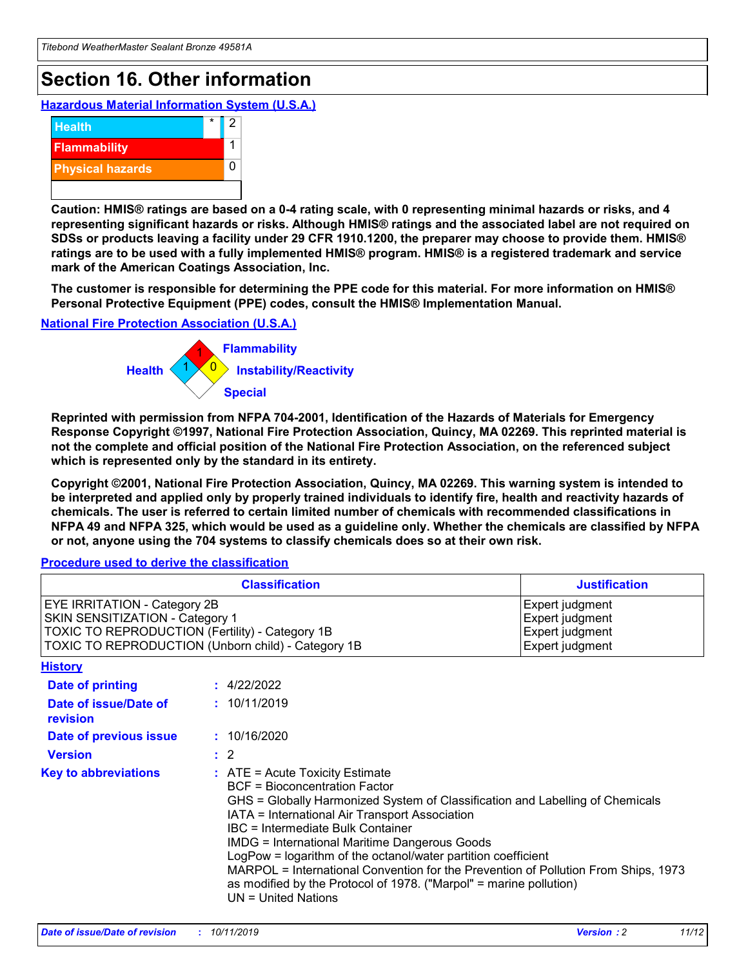## **Section 16. Other information**

**Hazardous Material Information System (U.S.A.)**



**Caution: HMIS® ratings are based on a 0-4 rating scale, with 0 representing minimal hazards or risks, and 4 representing significant hazards or risks. Although HMIS® ratings and the associated label are not required on SDSs or products leaving a facility under 29 CFR 1910.1200, the preparer may choose to provide them. HMIS® ratings are to be used with a fully implemented HMIS® program. HMIS® is a registered trademark and service mark of the American Coatings Association, Inc.**

**The customer is responsible for determining the PPE code for this material. For more information on HMIS® Personal Protective Equipment (PPE) codes, consult the HMIS® Implementation Manual.**

#### **National Fire Protection Association (U.S.A.)**



**Reprinted with permission from NFPA 704-2001, Identification of the Hazards of Materials for Emergency Response Copyright ©1997, National Fire Protection Association, Quincy, MA 02269. This reprinted material is not the complete and official position of the National Fire Protection Association, on the referenced subject which is represented only by the standard in its entirety.**

**Copyright ©2001, National Fire Protection Association, Quincy, MA 02269. This warning system is intended to be interpreted and applied only by properly trained individuals to identify fire, health and reactivity hazards of chemicals. The user is referred to certain limited number of chemicals with recommended classifications in NFPA 49 and NFPA 325, which would be used as a guideline only. Whether the chemicals are classified by NFPA or not, anyone using the 704 systems to classify chemicals does so at their own risk.**

#### **Procedure used to derive the classification**

| <b>Classification</b>                                                                                                                                                    |                                                                                                                                                                                                                                                                                                                                                                                                                                                                                                                                                               | <b>Justification</b>                                                     |
|--------------------------------------------------------------------------------------------------------------------------------------------------------------------------|---------------------------------------------------------------------------------------------------------------------------------------------------------------------------------------------------------------------------------------------------------------------------------------------------------------------------------------------------------------------------------------------------------------------------------------------------------------------------------------------------------------------------------------------------------------|--------------------------------------------------------------------------|
| EYE IRRITATION - Category 2B<br>SKIN SENSITIZATION - Category 1<br>TOXIC TO REPRODUCTION (Fertility) - Category 1B<br>TOXIC TO REPRODUCTION (Unborn child) - Category 1B |                                                                                                                                                                                                                                                                                                                                                                                                                                                                                                                                                               | Expert judgment<br>Expert judgment<br>Expert judgment<br>Expert judgment |
| <b>History</b>                                                                                                                                                           |                                                                                                                                                                                                                                                                                                                                                                                                                                                                                                                                                               |                                                                          |
| <b>Date of printing</b>                                                                                                                                                  | : 4/22/2022                                                                                                                                                                                                                                                                                                                                                                                                                                                                                                                                                   |                                                                          |
| Date of issue/Date of<br>revision                                                                                                                                        | : 10/11/2019                                                                                                                                                                                                                                                                                                                                                                                                                                                                                                                                                  |                                                                          |
| Date of previous issue                                                                                                                                                   | : 10/16/2020                                                                                                                                                                                                                                                                                                                                                                                                                                                                                                                                                  |                                                                          |
| <b>Version</b>                                                                                                                                                           | $\therefore$ 2                                                                                                                                                                                                                                                                                                                                                                                                                                                                                                                                                |                                                                          |
| <b>Key to abbreviations</b>                                                                                                                                              | $:$ ATE = Acute Toxicity Estimate<br><b>BCF</b> = Bioconcentration Factor<br>GHS = Globally Harmonized System of Classification and Labelling of Chemicals<br>IATA = International Air Transport Association<br>IBC = Intermediate Bulk Container<br><b>IMDG = International Maritime Dangerous Goods</b><br>LogPow = logarithm of the octanol/water partition coefficient<br>MARPOL = International Convention for the Prevention of Pollution From Ships, 1973<br>as modified by the Protocol of 1978. ("Marpol" = marine pollution)<br>UN = United Nations |                                                                          |